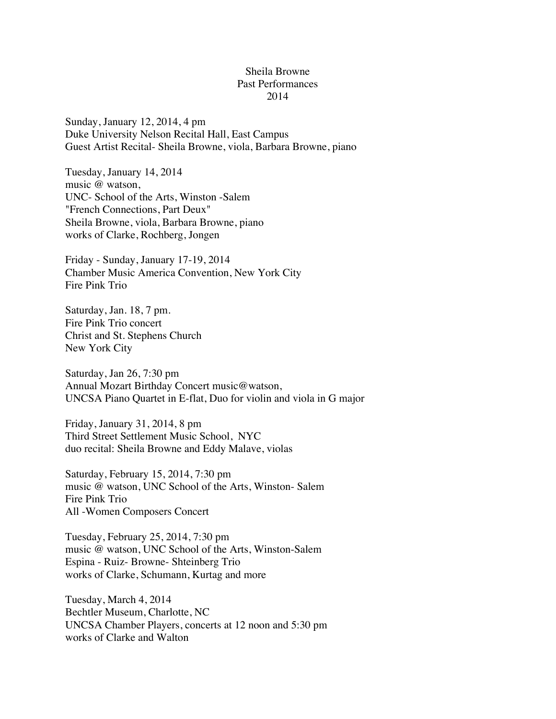## Sheila Browne Past Performances 2014

Sunday, January 12, 2014, 4 pm Duke University Nelson Recital Hall, East Campus Guest Artist Recital- Sheila Browne, viola, Barbara Browne, piano

Tuesday, January 14, 2014 music @ watson, UNC- School of the Arts, Winston -Salem "French Connections, Part Deux" Sheila Browne, viola, Barbara Browne, piano works of Clarke, Rochberg, Jongen

Friday - Sunday, January 17-19, 2014 Chamber Music America Convention, New York City Fire Pink Trio

Saturday, Jan. 18, 7 pm. Fire Pink Trio concert Christ and St. Stephens Church New York City

Saturday, Jan 26, 7:30 pm Annual Mozart Birthday Concert music@watson, UNCSA Piano Quartet in E-flat, Duo for violin and viola in G major

Friday, January 31, 2014, 8 pm Third Street Settlement Music School, NYC duo recital: Sheila Browne and Eddy Malave, violas

Saturday, February 15, 2014, 7:30 pm music @ watson, UNC School of the Arts, Winston- Salem Fire Pink Trio All -Women Composers Concert

Tuesday, February 25, 2014, 7:30 pm music @ watson, UNC School of the Arts, Winston-Salem Espina - Ruiz- Browne- Shteinberg Trio works of Clarke, Schumann, Kurtag and more

Tuesday, March 4, 2014 Bechtler Museum, Charlotte, NC UNCSA Chamber Players, concerts at 12 noon and 5:30 pm works of Clarke and Walton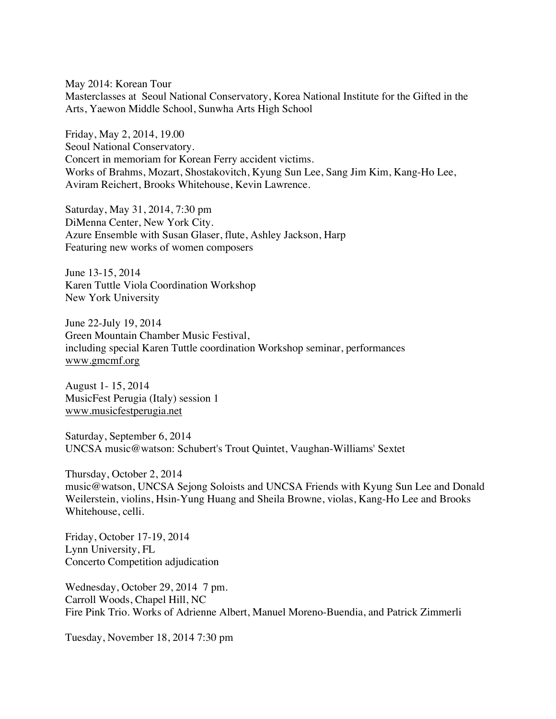May 2014: Korean Tour Masterclasses at Seoul National Conservatory, Korea National Institute for the Gifted in the Arts, Yaewon Middle School, Sunwha Arts High School

Friday, May 2, 2014, 19.00 Seoul National Conservatory. Concert in memoriam for Korean Ferry accident victims. Works of Brahms, Mozart, Shostakovitch, Kyung Sun Lee, Sang Jim Kim, Kang-Ho Lee, Aviram Reichert, Brooks Whitehouse, Kevin Lawrence.

Saturday, May 31, 2014, 7:30 pm DiMenna Center, New York City. Azure Ensemble with Susan Glaser, flute, Ashley Jackson, Harp Featuring new works of women composers

June 13-15, 2014 Karen Tuttle Viola Coordination Workshop New York University

June 22-July 19, 2014 Green Mountain Chamber Music Festival, including special Karen Tuttle coordination Workshop seminar, performances www.gmcmf.org

August 1- 15, 2014 MusicFest Perugia (Italy) session 1 www.musicfestperugia.net

Saturday, September 6, 2014 UNCSA music@watson: Schubert's Trout Quintet, Vaughan-Williams' Sextet

Thursday, October 2, 2014 music@watson, UNCSA Sejong Soloists and UNCSA Friends with Kyung Sun Lee and Donald Weilerstein, violins, Hsin-Yung Huang and Sheila Browne, violas, Kang-Ho Lee and Brooks Whitehouse, celli.

Friday, October 17-19, 2014 Lynn University, FL Concerto Competition adjudication

Wednesday, October 29, 2014 7 pm. Carroll Woods, Chapel Hill, NC Fire Pink Trio. Works of Adrienne Albert, Manuel Moreno-Buendia, and Patrick Zimmerli

Tuesday, November 18, 2014 7:30 pm